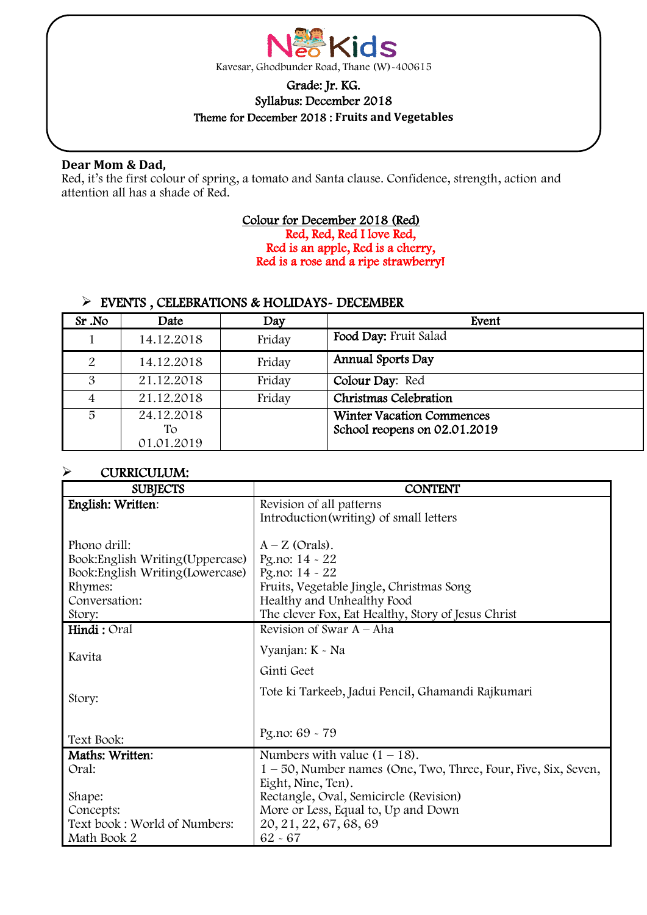

## Grade: Jr. KG. Syllabus: December 2018 Theme for December 2018 : **Fruits and Vegetables**

### **Dear Mom & Dad,**

l

Red, it's the first colour of spring, a tomato and Santa clause. Confidence, strength, action and attention all has a shade of Red.

#### Colour for December 2018 (Red) Red, Red, Red I love Red, Red is an apple, Red is a cherry, Red is a rose and a ripe strawberry!

## EVENTS , CELEBRATIONS & HOLIDAYS- DECEMBER

| Sr.No          | Date       | Day    | Event                            |
|----------------|------------|--------|----------------------------------|
|                | 14.12.2018 | Friday | Food Day: Fruit Salad            |
| $\overline{2}$ | 14.12.2018 | Friday | <b>Annual Sports Day</b>         |
| 3              | 21.12.2018 | Friday | Colour Day: Red                  |
|                | 21.12.2018 | Friday | <b>Christmas Celebration</b>     |
| 5              | 24.12.2018 |        | <b>Winter Vacation Commences</b> |
|                | To         |        | School reopens on 02.01.2019     |
|                | 01.01.2019 |        |                                  |

### > CURRICULUM:

| <b>SUBJECTS</b>                   | <b>CONTENT</b>                                                                       |  |  |
|-----------------------------------|--------------------------------------------------------------------------------------|--|--|
| English: Written:                 | Revision of all patterns                                                             |  |  |
|                                   | Introduction (writing) of small letters                                              |  |  |
|                                   |                                                                                      |  |  |
| Phono drill:                      | $A - Z$ (Orals).                                                                     |  |  |
| Book: English Writing (Uppercase) | Pg.no: 14 - 22                                                                       |  |  |
| Book: English Writing (Lowercase) | Pg.no: 14 - 22                                                                       |  |  |
| Rhymes:                           | Fruits, Vegetable Jingle, Christmas Song                                             |  |  |
| Conversation:                     | Healthy and Unhealthy Food                                                           |  |  |
| Story:                            | The clever Fox, Eat Healthy, Story of Jesus Christ                                   |  |  |
| Hindi: Oral                       | Revision of Swar $A - Aha$                                                           |  |  |
| Kavita                            | Vyanjan: K ~ Na                                                                      |  |  |
|                                   | Ginti Geet                                                                           |  |  |
| Story:                            | Tote ki Tarkeeb, Jadui Pencil, Ghamandi Rajkumari                                    |  |  |
|                                   |                                                                                      |  |  |
| Text Book:                        | Pg.no: 69 - 79                                                                       |  |  |
|                                   |                                                                                      |  |  |
| Maths: Written:                   | Numbers with value $(1 - 18)$ .                                                      |  |  |
| Oral:                             | 1 – 50, Number names (One, Two, Three, Four, Five, Six, Seven,<br>Eight, Nine, Ten). |  |  |
| Shape:                            | Rectangle, Oval, Semicircle (Revision)                                               |  |  |
| Concepts:                         | More or Less, Equal to, Up and Down                                                  |  |  |
| Text book: World of Numbers:      | 20, 21, 22, 67, 68, 69                                                               |  |  |
| Math Book 2                       | $62 - 67$                                                                            |  |  |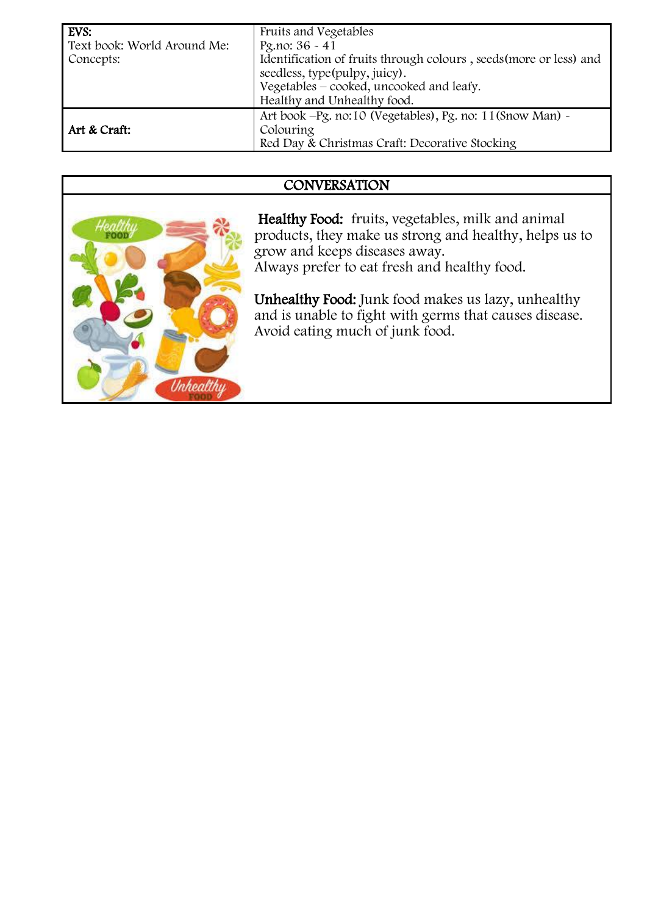| EVS:<br>Text book: World Around Me:<br>Concepts: | Fruits and Vegetables<br>Pg.no: $36 - 41$<br>Identification of fruits through colours, seeds (more or less) and<br>seedless, type (pulpy, juicy).<br>Vegetables – cooked, uncooked and leafy.<br>Healthy and Unhealthy food. |
|--------------------------------------------------|------------------------------------------------------------------------------------------------------------------------------------------------------------------------------------------------------------------------------|
| Art & Craft:                                     | Art book -Pg. no:10 (Vegetables), Pg. no: 11 (Snow Man) -<br>Colouring<br>Red Day & Christmas Craft: Decorative Stocking                                                                                                     |

## **CONVERSATION**



 Healthy Food: fruits, vegetables, milk and animal products, they make us strong and healthy, helps us to grow and keeps diseases away. Always prefer to eat fresh and healthy food.

Unhealthy Food: Junk food makes us lazy, unhealthy and is unable to fight with germs that causes disease. Avoid eating much of junk food.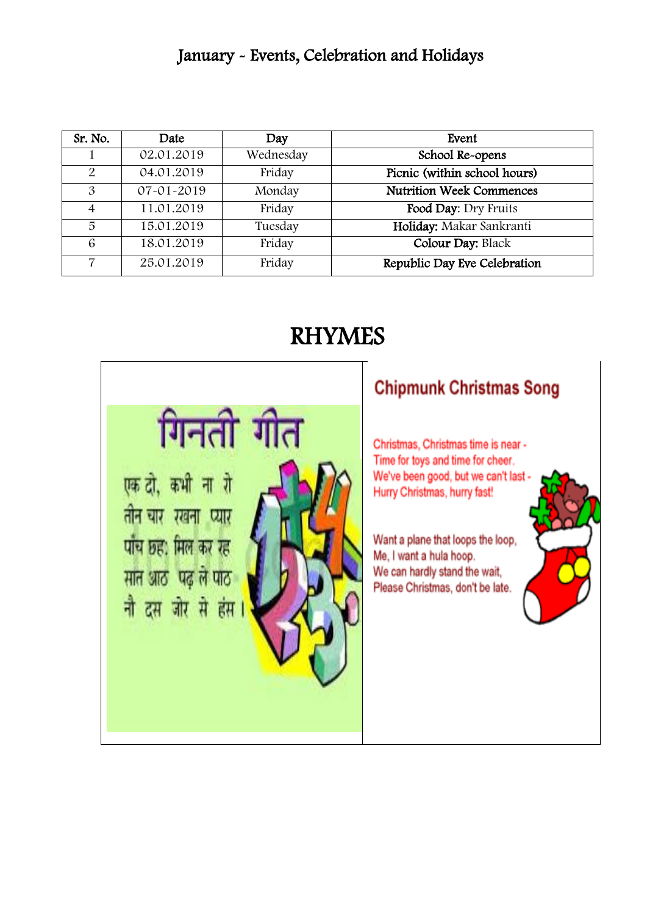## January - Events, Celebration and Holidays

| Sr. No. | Date       | Day       | Event                           |
|---------|------------|-----------|---------------------------------|
|         | 02.01.2019 | Wednesday | School Re-opens                 |
| 2       | 04.01.2019 | Friday    | Picnic (within school hours)    |
| 3       | 07-01-2019 | Monday    | <b>Nutrition Week Commences</b> |
| 4       | 11.01.2019 | Friday    | Food Day: Dry Fruits            |
| 5       | 15.01.2019 | Tuesday   | Holiday: Makar Sankranti        |
| 6       | 18.01.2019 | Friday    | Colour Day: Black               |
| ⇁       | 25.01.2019 | Friday    | Republic Day Eve Celebration    |

## RHYMES



## **Chipmunk Christmas Song**

Christmas, Christmas time is near -Time for toys and time for cheer. We've been good, but we can't last -Hurry Christmas, hurry fast!

Want a plane that loops the loop, We can hardly stand the wait, Please Christmas, don't be late.